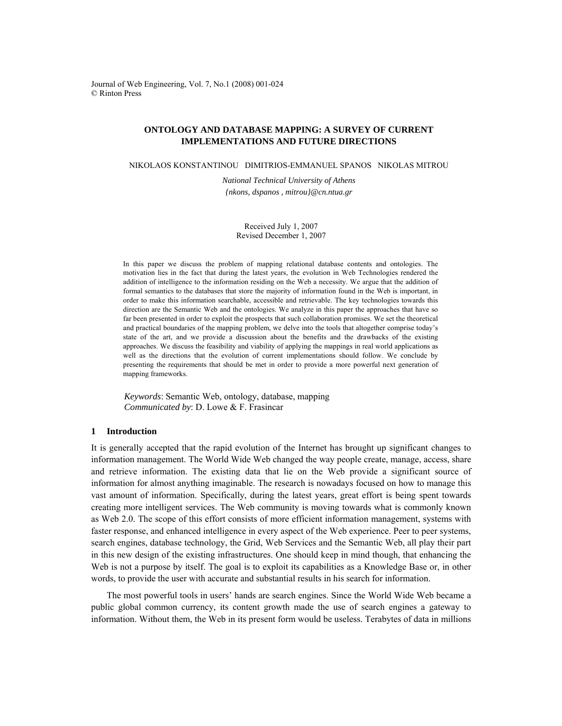Journal of Web Engineering, Vol. 7, No.1 (2008) 001-024 © Rinton Press

# **ONTOLOGY AND DATABASE MAPPING: A SURVEY OF CURRENT IMPLEMENTATIONS AND FUTURE DIRECTIONS**

NIKOLAOS KONSTANTINOU DIMITRIOS-EMMANUEL SPANOS NIKOLAS MITROU

*National Technical University of Athens* 

*{nkons, dspanos , mitrou}@cn.ntua.gr* 

Received July 1, 2007 Revised December 1, 2007

In this paper we discuss the problem of mapping relational database contents and ontologies. The motivation lies in the fact that during the latest years, the evolution in Web Technologies rendered the addition of intelligence to the information residing on the Web a necessity. We argue that the addition of formal semantics to the databases that store the majority of information found in the Web is important, in order to make this information searchable, accessible and retrievable. The key technologies towards this direction are the Semantic Web and the ontologies. We analyze in this paper the approaches that have so far been presented in order to exploit the prospects that such collaboration promises. We set the theoretical and practical boundaries of the mapping problem, we delve into the tools that altogether comprise today's state of the art, and we provide a discussion about the benefits and the drawbacks of the existing approaches. We discuss the feasibility and viability of applying the mappings in real world applications as well as the directions that the evolution of current implementations should follow. We conclude by presenting the requirements that should be met in order to provide a more powerful next generation of mapping frameworks.

*Keywords*: Semantic Web, ontology, database, mapping *Communicated by*: D. Lowe & F. Frasincar

# **1 Introduction**

It is generally accepted that the rapid evolution of the Internet has brought up significant changes to information management. The World Wide Web changed the way people create, manage, access, share and retrieve information. The existing data that lie on the Web provide a significant source of information for almost anything imaginable. The research is nowadays focused on how to manage this vast amount of information. Specifically, during the latest years, great effort is being spent towards creating more intelligent services. The Web community is moving towards what is commonly known as Web 2.0. The scope of this effort consists of more efficient information management, systems with faster response, and enhanced intelligence in every aspect of the Web experience. Peer to peer systems, search engines, database technology, the Grid, Web Services and the Semantic Web, all play their part in this new design of the existing infrastructures. One should keep in mind though, that enhancing the Web is not a purpose by itself. The goal is to exploit its capabilities as a Knowledge Base or, in other words, to provide the user with accurate and substantial results in his search for information.

The most powerful tools in users' hands are search engines. Since the World Wide Web became a public global common currency, its content growth made the use of search engines a gateway to information. Without them, the Web in its present form would be useless. Terabytes of data in millions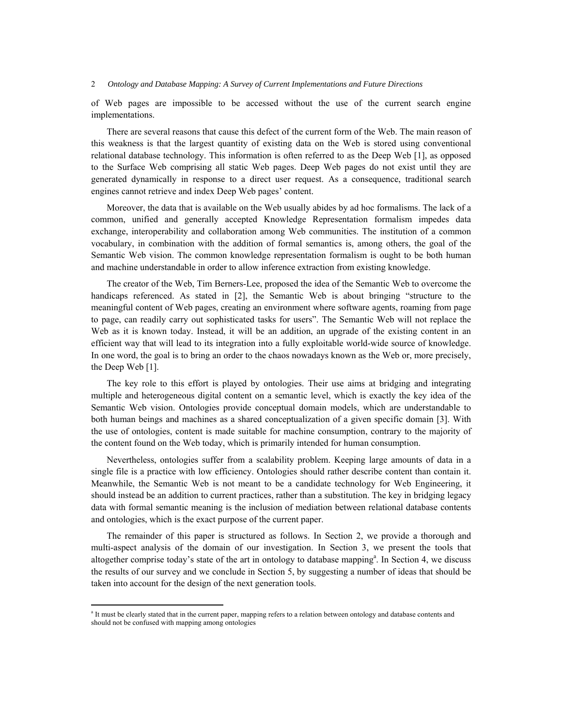of Web pages are impossible to be accessed without the use of the current search engine implementations.

There are several reasons that cause this defect of the current form of the Web. The main reason of this weakness is that the largest quantity of existing data on the Web is stored using conventional relational database technology. This information is often referred to as the Deep Web [1], as opposed to the Surface Web comprising all static Web pages. Deep Web pages do not exist until they are generated dynamically in response to a direct user request. As a consequence, traditional search engines cannot retrieve and index Deep Web pages' content.

Moreover, the data that is available on the Web usually abides by ad hoc formalisms. The lack of a common, unified and generally accepted Knowledge Representation formalism impedes data exchange, interoperability and collaboration among Web communities. The institution of a common vocabulary, in combination with the addition of formal semantics is, among others, the goal of the Semantic Web vision. The common knowledge representation formalism is ought to be both human and machine understandable in order to allow inference extraction from existing knowledge.

The creator of the Web, Tim Berners-Lee, proposed the idea of the Semantic Web to overcome the handicaps referenced. As stated in [2], the Semantic Web is about bringing "structure to the meaningful content of Web pages, creating an environment where software agents, roaming from page to page, can readily carry out sophisticated tasks for users". The Semantic Web will not replace the Web as it is known today. Instead, it will be an addition, an upgrade of the existing content in an efficient way that will lead to its integration into a fully exploitable world-wide source of knowledge. In one word, the goal is to bring an order to the chaos nowadays known as the Web or, more precisely, the Deep Web [1].

The key role to this effort is played by ontologies. Their use aims at bridging and integrating multiple and heterogeneous digital content on a semantic level, which is exactly the key idea of the Semantic Web vision. Ontologies provide conceptual domain models, which are understandable to both human beings and machines as a shared conceptualization of a given specific domain [3]. With the use of ontologies, content is made suitable for machine consumption, contrary to the majority of the content found on the Web today, which is primarily intended for human consumption.

Nevertheless, ontologies suffer from a scalability problem. Keeping large amounts of data in a single file is a practice with low efficiency. Ontologies should rather describe content than contain it. Meanwhile, the Semantic Web is not meant to be a candidate technology for Web Engineering, it should instead be an addition to current practices, rather than a substitution. The key in bridging legacy data with formal semantic meaning is the inclusion of mediation between relational database contents and ontologies, which is the exact purpose of the current paper.

The remainder of this paper is structured as follows. In Section 2, we provide a thorough and multi-aspect analysis of the domain of our investigation. In Section 3, we present the tools that altogether comprise today's state of the art in ontology to database mapping<sup>a</sup>. In Section 4, we discuss the results of our survey and we conclude in Section 5, by suggesting a number of ideas that should be taken into account for the design of the next generation tools.

<sup>&</sup>lt;sup>a</sup> It must be clearly stated that in the current paper, mapping refers to a relation between ontology and database contents and should not be confused with mapping among ontologies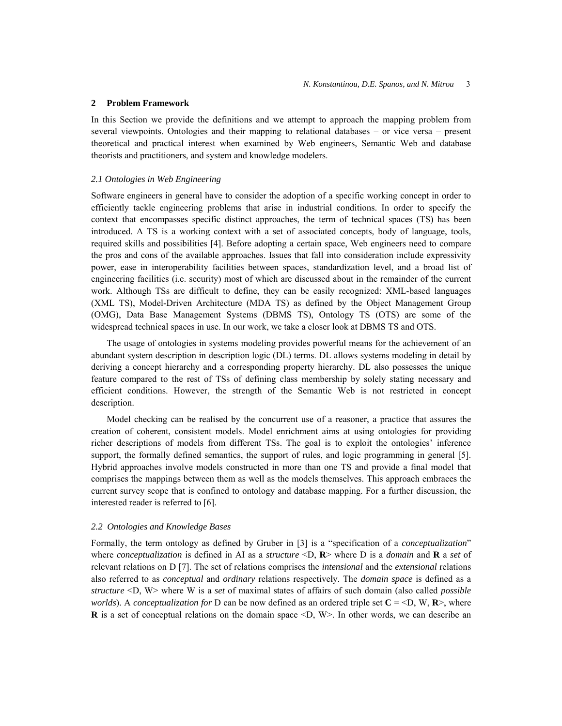### **2 Problem Framework**

In this Section we provide the definitions and we attempt to approach the mapping problem from several viewpoints. Ontologies and their mapping to relational databases – or vice versa – present theoretical and practical interest when examined by Web engineers, Semantic Web and database theorists and practitioners, and system and knowledge modelers.

## *2.1 Ontologies in Web Engineering*

Software engineers in general have to consider the adoption of a specific working concept in order to efficiently tackle engineering problems that arise in industrial conditions. In order to specify the context that encompasses specific distinct approaches, the term of technical spaces (TS) has been introduced. A TS is a working context with a set of associated concepts, body of language, tools, required skills and possibilities [4]. Before adopting a certain space, Web engineers need to compare the pros and cons of the available approaches. Issues that fall into consideration include expressivity power, ease in interoperability facilities between spaces, standardization level, and a broad list of engineering facilities (i.e. security) most of which are discussed about in the remainder of the current work. Although TSs are difficult to define, they can be easily recognized: XML-based languages (XML TS), Model-Driven Architecture (MDA TS) as defined by the Object Management Group (OMG), Data Base Management Systems (DBMS TS), Ontology TS (OTS) are some of the widespread technical spaces in use. In our work, we take a closer look at DBMS TS and OTS.

The usage of ontologies in systems modeling provides powerful means for the achievement of an abundant system description in description logic (DL) terms. DL allows systems modeling in detail by deriving a concept hierarchy and a corresponding property hierarchy. DL also possesses the unique feature compared to the rest of TSs of defining class membership by solely stating necessary and efficient conditions. However, the strength of the Semantic Web is not restricted in concept description.

Model checking can be realised by the concurrent use of a reasoner, a practice that assures the creation of coherent, consistent models. Model enrichment aims at using ontologies for providing richer descriptions of models from different TSs. The goal is to exploit the ontologies' inference support, the formally defined semantics, the support of rules, and logic programming in general [5]. Hybrid approaches involve models constructed in more than one TS and provide a final model that comprises the mappings between them as well as the models themselves. This approach embraces the current survey scope that is confined to ontology and database mapping. For a further discussion, the interested reader is referred to [6].

#### *2.2 Ontologies and Knowledge Bases*

Formally, the term ontology as defined by Gruber in [3] is a "specification of a *conceptualization*" where *conceptualization* is defined in AI as a *structure* <D, **R**> where D is a *domain* and **R** a *set* of relevant relations on D [7]. The set of relations comprises the *intensional* and the *extensional* relations also referred to as *conceptual* and *ordinary* relations respectively. The *domain space* is defined as a *structure* <D, W> where W is a *set* of maximal states of affairs of such domain (also called *possible worlds*). A *conceptualization* for D can be now defined as an ordered triple set  $C = \{D, W, R\}$ , where **R** is a set of conceptual relations on the domain space  $\leq D$ , W $\geq$ . In other words, we can describe an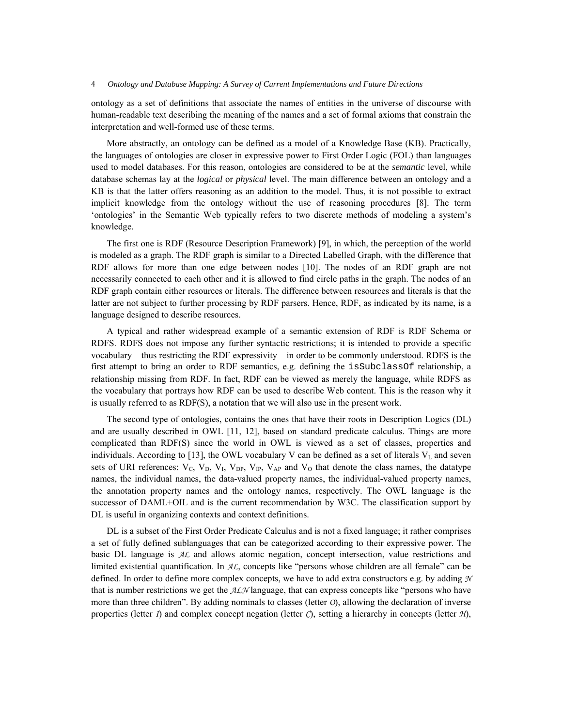ontology as a set of definitions that associate the names of entities in the universe of discourse with human-readable text describing the meaning of the names and a set of formal axioms that constrain the interpretation and well-formed use of these terms.

More abstractly, an ontology can be defined as a model of a Knowledge Base (KB). Practically, the languages of ontologies are closer in expressive power to First Order Logic (FOL) than languages used to model databases. For this reason, ontologies are considered to be at the *semantic* level, while database schemas lay at the *logical* or *physical* level. The main difference between an ontology and a KB is that the latter offers reasoning as an addition to the model. Thus, it is not possible to extract implicit knowledge from the ontology without the use of reasoning procedures [8]. The term 'ontologies' in the Semantic Web typically refers to two discrete methods of modeling a system's knowledge.

The first one is RDF (Resource Description Framework) [9], in which, the perception of the world is modeled as a graph. The RDF graph is similar to a Directed Labelled Graph, with the difference that RDF allows for more than one edge between nodes [10]. The nodes of an RDF graph are not necessarily connected to each other and it is allowed to find circle paths in the graph. The nodes of an RDF graph contain either resources or literals. The difference between resources and literals is that the latter are not subject to further processing by RDF parsers. Hence, RDF, as indicated by its name, is a language designed to describe resources.

A typical and rather widespread example of a semantic extension of RDF is RDF Schema or RDFS. RDFS does not impose any further syntactic restrictions; it is intended to provide a specific vocabulary – thus restricting the RDF expressivity – in order to be commonly understood. RDFS is the first attempt to bring an order to RDF semantics, e.g. defining the isSubclassOf relationship, a relationship missing from RDF. In fact, RDF can be viewed as merely the language, while RDFS as the vocabulary that portrays how RDF can be used to describe Web content. This is the reason why it is usually referred to as RDF(S), a notation that we will also use in the present work.

The second type of ontologies, contains the ones that have their roots in Description Logics (DL) and are usually described in OWL [11, 12], based on standard predicate calculus. Things are more complicated than RDF(S) since the world in OWL is viewed as a set of classes, properties and individuals. According to [13], the OWL vocabulary V can be defined as a set of literals  $V<sub>L</sub>$  and seven sets of URI references:  $V_C$ ,  $V_D$ ,  $V_L$ ,  $V_{DP}$ ,  $V_{IP}$ ,  $V_{AP}$  and  $V_O$  that denote the class names, the datatype names, the individual names, the data-valued property names, the individual-valued property names, the annotation property names and the ontology names, respectively. The OWL language is the successor of DAML+OIL and is the current recommendation by W3C. The classification support by DL is useful in organizing contexts and context definitions.

DL is a subset of the First Order Predicate Calculus and is not a fixed language; it rather comprises a set of fully defined sublanguages that can be categorized according to their expressive power. The basic DL language is *AL* and allows atomic negation, concept intersection, value restrictions and limited existential quantification. In *AL*, concepts like "persons whose children are all female" can be defined. In order to define more complex concepts, we have to add extra constructors e.g. by adding *N* that is number restrictions we get the *ALN* language, that can express concepts like "persons who have more than three children". By adding nominals to classes (letter *O*), allowing the declaration of inverse properties (letter *I*) and complex concept negation (letter *C*), setting a hierarchy in concepts (letter *H*),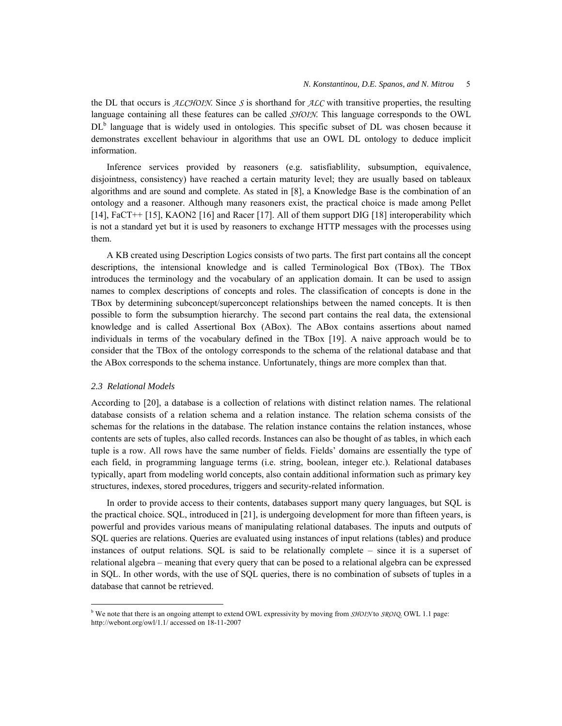the DL that occurs is *ALCHOIN*. Since *S* is shorthand for *ALC* with transitive properties, the resulting language containing all these features can be called *SHOIN*. This language corresponds to the OWL DL<sup>b</sup> language that is widely used in ontologies. This specific subset of DL was chosen because it demonstrates excellent behaviour in algorithms that use an OWL DL ontology to deduce implicit information.

Inference services provided by reasoners (e.g. satisfiablility, subsumption, equivalence, disjointness, consistency) have reached a certain maturity level; they are usually based on tableaux algorithms and are sound and complete. As stated in [8], a Knowledge Base is the combination of an ontology and a reasoner. Although many reasoners exist, the practical choice is made among Pellet [14], FaCT++ [15], KAON2 [16] and Racer [17]. All of them support DIG [18] interoperability which is not a standard yet but it is used by reasoners to exchange HTTP messages with the processes using them.

A KB created using Description Logics consists of two parts. The first part contains all the concept descriptions, the intensional knowledge and is called Terminological Box (TBox). The TBox introduces the terminology and the vocabulary of an application domain. It can be used to assign names to complex descriptions of concepts and roles. The classification of concepts is done in the TBox by determining subconcept/superconcept relationships between the named concepts. It is then possible to form the subsumption hierarchy. The second part contains the real data, the extensional knowledge and is called Assertional Box (ABox). The ABox contains assertions about named individuals in terms of the vocabulary defined in the TBox [19]. A naive approach would be to consider that the TBox of the ontology corresponds to the schema of the relational database and that the ABox corresponds to the schema instance. Unfortunately, things are more complex than that.

#### *2.3 Relational Models*

<u>.</u>

According to [20], a database is a collection of relations with distinct relation names. The relational database consists of a relation schema and a relation instance. The relation schema consists of the schemas for the relations in the database. The relation instance contains the relation instances, whose contents are sets of tuples, also called records. Instances can also be thought of as tables, in which each tuple is a row. All rows have the same number of fields. Fields' domains are essentially the type of each field, in programming language terms (i.e. string, boolean, integer etc.). Relational databases typically, apart from modeling world concepts, also contain additional information such as primary key structures, indexes, stored procedures, triggers and security-related information.

In order to provide access to their contents, databases support many query languages, but SQL is the practical choice. SQL, introduced in [21], is undergoing development for more than fifteen years, is powerful and provides various means of manipulating relational databases. The inputs and outputs of SQL queries are relations. Queries are evaluated using instances of input relations (tables) and produce instances of output relations. SQL is said to be relationally complete – since it is a superset of relational algebra – meaning that every query that can be posed to a relational algebra can be expressed in SQL. In other words, with the use of SQL queries, there is no combination of subsets of tuples in a database that cannot be retrieved.

b We note that there is an ongoing attempt to extend OWL expressivity by moving from *SHOIN* to *SROIQ*. OWL 1.1 page: http://webont.org/owl/1.1/ accessed on 18-11-2007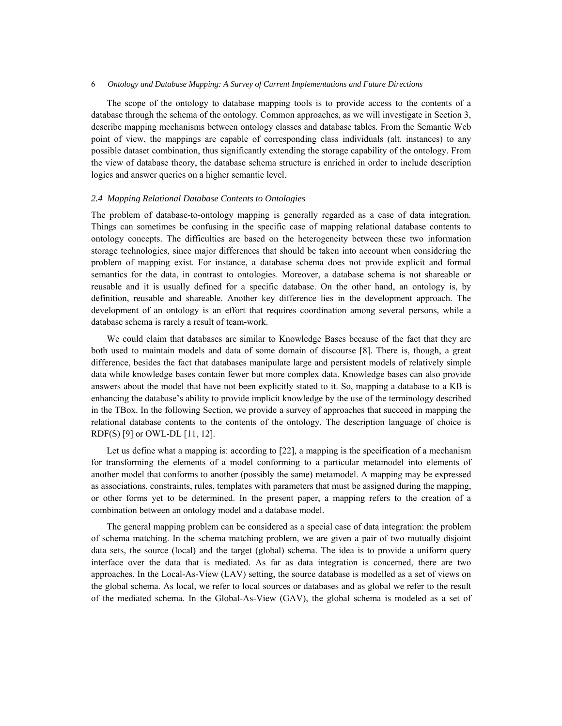The scope of the ontology to database mapping tools is to provide access to the contents of a database through the schema of the ontology. Common approaches, as we will investigate in Section 3, describe mapping mechanisms between ontology classes and database tables. From the Semantic Web point of view, the mappings are capable of corresponding class individuals (alt. instances) to any possible dataset combination, thus significantly extending the storage capability of the ontology. From the view of database theory, the database schema structure is enriched in order to include description logics and answer queries on a higher semantic level.

## *2.4 Mapping Relational Database Contents to Ontologies*

The problem of database-to-ontology mapping is generally regarded as a case of data integration. Things can sometimes be confusing in the specific case of mapping relational database contents to ontology concepts. The difficulties are based on the heterogeneity between these two information storage technologies, since major differences that should be taken into account when considering the problem of mapping exist. For instance, a database schema does not provide explicit and formal semantics for the data, in contrast to ontologies. Moreover, a database schema is not shareable or reusable and it is usually defined for a specific database. On the other hand, an ontology is, by definition, reusable and shareable. Another key difference lies in the development approach. The development of an ontology is an effort that requires coordination among several persons, while a database schema is rarely a result of team-work.

We could claim that databases are similar to Knowledge Bases because of the fact that they are both used to maintain models and data of some domain of discourse [8]. There is, though, a great difference, besides the fact that databases manipulate large and persistent models of relatively simple data while knowledge bases contain fewer but more complex data. Knowledge bases can also provide answers about the model that have not been explicitly stated to it. So, mapping a database to a KB is enhancing the database's ability to provide implicit knowledge by the use of the terminology described in the TBox. In the following Section, we provide a survey of approaches that succeed in mapping the relational database contents to the contents of the ontology. The description language of choice is RDF(S) [9] or OWL-DL [11, 12].

Let us define what a mapping is: according to [22], a mapping is the specification of a mechanism for transforming the elements of a model conforming to a particular metamodel into elements of another model that conforms to another (possibly the same) metamodel. A mapping may be expressed as associations, constraints, rules, templates with parameters that must be assigned during the mapping, or other forms yet to be determined. In the present paper, a mapping refers to the creation of a combination between an ontology model and a database model.

The general mapping problem can be considered as a special case of data integration: the problem of schema matching. In the schema matching problem, we are given a pair of two mutually disjoint data sets, the source (local) and the target (global) schema. The idea is to provide a uniform query interface over the data that is mediated. As far as data integration is concerned, there are two approaches. In the Local-As-View (LAV) setting, the source database is modelled as a set of views on the global schema. As local, we refer to local sources or databases and as global we refer to the result of the mediated schema. In the Global-As-View (GAV), the global schema is modeled as a set of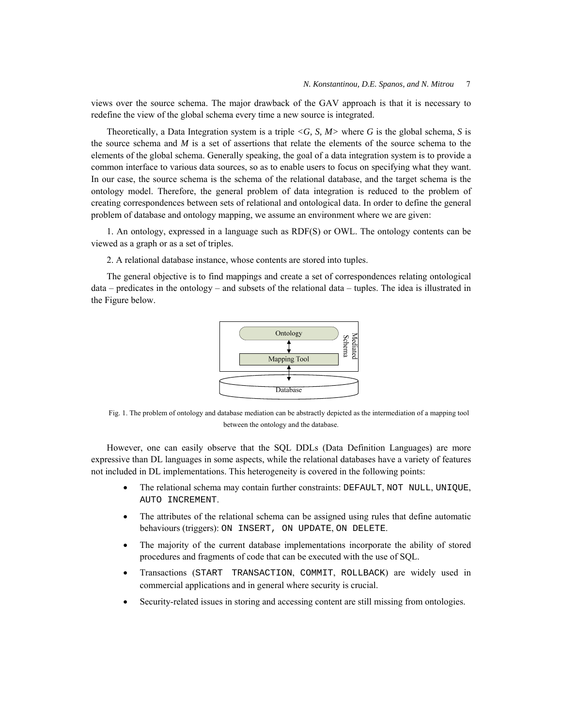views over the source schema. The major drawback of the GAV approach is that it is necessary to redefine the view of the global schema every time a new source is integrated.

Theoretically, a Data Integration system is a triple  $\langle G, S, M \rangle$  where G is the global schema, S is the source schema and *M* is a set of assertions that relate the elements of the source schema to the elements of the global schema. Generally speaking, the goal of a data integration system is to provide a common interface to various data sources, so as to enable users to focus on specifying what they want. In our case, the source schema is the schema of the relational database, and the target schema is the ontology model. Therefore, the general problem of data integration is reduced to the problem of creating correspondences between sets of relational and ontological data. In order to define the general problem of database and ontology mapping, we assume an environment where we are given:

1. An ontology, expressed in a language such as RDF(S) or OWL. The ontology contents can be viewed as a graph or as a set of triples.

2. A relational database instance, whose contents are stored into tuples.

The general objective is to find mappings and create a set of correspondences relating ontological data – predicates in the ontology – and subsets of the relational data – tuples. The idea is illustrated in the Figure below.



Fig. 1. The problem of ontology and database mediation can be abstractly depicted as the intermediation of a mapping tool between the ontology and the database.

However, one can easily observe that the SQL DDLs (Data Definition Languages) are more expressive than DL languages in some aspects, while the relational databases have a variety of features not included in DL implementations. This heterogeneity is covered in the following points:

- The relational schema may contain further constraints: DEFAULT, NOT NULL, UNIQUE, AUTO INCREMENT.
- The attributes of the relational schema can be assigned using rules that define automatic behaviours (triggers): ON INSERT, ON UPDATE, ON DELETE.
- The majority of the current database implementations incorporate the ability of stored procedures and fragments of code that can be executed with the use of SQL.
- Transactions (START TRANSACTION, COMMIT, ROLLBACK) are widely used in commercial applications and in general where security is crucial.
- Security-related issues in storing and accessing content are still missing from ontologies.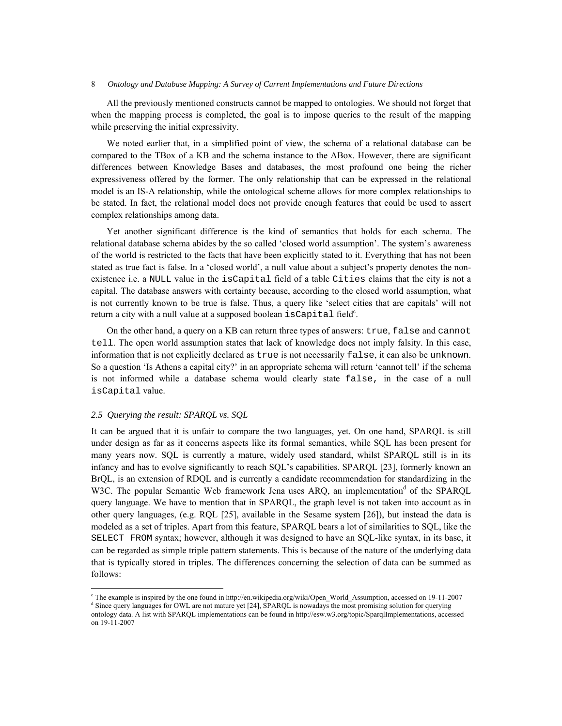All the previously mentioned constructs cannot be mapped to ontologies. We should not forget that when the mapping process is completed, the goal is to impose queries to the result of the mapping while preserving the initial expressivity.

We noted earlier that, in a simplified point of view, the schema of a relational database can be compared to the TBox of a KB and the schema instance to the ABox. However, there are significant differences between Knowledge Bases and databases, the most profound one being the richer expressiveness offered by the former. The only relationship that can be expressed in the relational model is an IS-A relationship, while the ontological scheme allows for more complex relationships to be stated. In fact, the relational model does not provide enough features that could be used to assert complex relationships among data.

Yet another significant difference is the kind of semantics that holds for each schema. The relational database schema abides by the so called 'closed world assumption'. The system's awareness of the world is restricted to the facts that have been explicitly stated to it. Everything that has not been stated as true fact is false. In a 'closed world', a null value about a subject's property denotes the nonexistence i.e. a NULL value in the isCapital field of a table Cities claims that the city is not a capital. The database answers with certainty because, according to the closed world assumption, what is not currently known to be true is false. Thus, a query like 'select cities that are capitals' will not return a city with a null value at a supposed boolean  $is$ Capital field $c$ .

On the other hand, a query on a KB can return three types of answers: true, false and cannot tell. The open world assumption states that lack of knowledge does not imply falsity. In this case, information that is not explicitly declared as true is not necessarily false, it can also be unknown. So a question 'Is Athens a capital city?' in an appropriate schema will return 'cannot tell' if the schema is not informed while a database schema would clearly state false, in the case of a null isCapital value.

# *2.5 Querying the result: SPARQL vs. SQL*

1

It can be argued that it is unfair to compare the two languages, yet. On one hand, SPARQL is still under design as far as it concerns aspects like its formal semantics, while SQL has been present for many years now. SQL is currently a mature, widely used standard, whilst SPARQL still is in its infancy and has to evolve significantly to reach SQL's capabilities. SPARQL [23], formerly known an BrQL, is an extension of RDQL and is currently a candidate recommendation for standardizing in the W3C. The popular Semantic Web framework Jena uses ARQ, an implementation<sup>d</sup> of the SPARQL query language. We have to mention that in SPARQL, the graph level is not taken into account as in other query languages, (e.g. RQL [25], available in the Sesame system [26]), but instead the data is modeled as a set of triples. Apart from this feature, SPARQL bears a lot of similarities to SQL, like the SELECT FROM syntax; however, although it was designed to have an SQL-like syntax, in its base, it can be regarded as simple triple pattern statements. This is because of the nature of the underlying data that is typically stored in triples. The differences concerning the selection of data can be summed as follows:

The example is inspired by the one found in http://en.wikipedia.org/wiki/Open\_World\_Assumption, accessed on 19-11-2007 <sup>d</sup> Since query languages for OWL are not mature yet [24], SPARQL is nowadays the most promising solution for querying ontology data. A list with SPARQL implementations can be found in http://esw.w3.org/topic/SparqlImplementations, accessed on 19-11-2007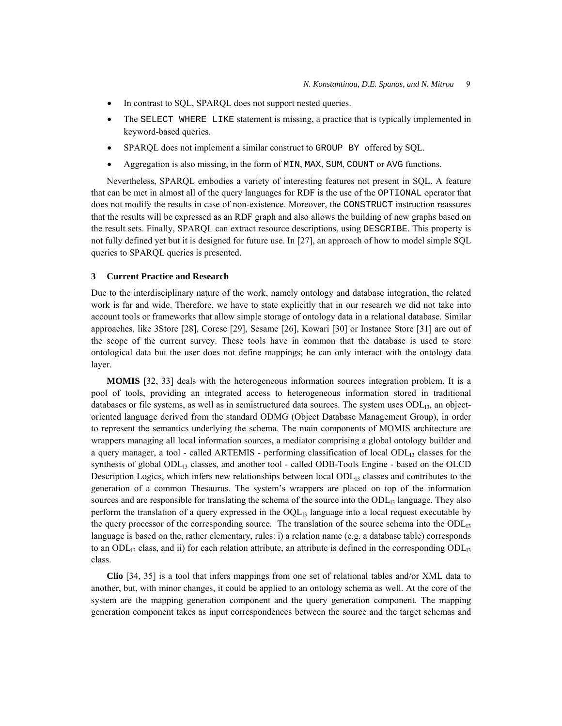- In contrast to SQL, SPARQL does not support nested queries.
- The SELECT WHERE LIKE statement is missing, a practice that is typically implemented in keyword-based queries.
- SPARQL does not implement a similar construct to GROUP BY offered by SQL.
- Aggregation is also missing, in the form of MIN, MAX, SUM, COUNT or AVG functions.

Nevertheless, SPARQL embodies a variety of interesting features not present in SQL. A feature that can be met in almost all of the query languages for RDF is the use of the OPTIONAL operator that does not modify the results in case of non-existence. Moreover, the CONSTRUCT instruction reassures that the results will be expressed as an RDF graph and also allows the building of new graphs based on the result sets. Finally, SPARQL can extract resource descriptions, using DESCRIBE. This property is not fully defined yet but it is designed for future use. In [27], an approach of how to model simple SQL queries to SPARQL queries is presented.

# **3 Current Practice and Research**

Due to the interdisciplinary nature of the work, namely ontology and database integration, the related work is far and wide. Therefore, we have to state explicitly that in our research we did not take into account tools or frameworks that allow simple storage of ontology data in a relational database. Similar approaches, like 3Store [28], Corese [29], Sesame [26], Kowari [30] or Instance Store [31] are out of the scope of the current survey. These tools have in common that the database is used to store ontological data but the user does not define mappings; he can only interact with the ontology data layer.

**MOMIS** [32, 33] deals with the heterogeneous information sources integration problem. It is a pool of tools, providing an integrated access to heterogeneous information stored in traditional databases or file systems, as well as in semistructured data sources. The system uses  $ODL<sub>13</sub>$ , an objectoriented language derived from the standard ODMG (Object Database Management Group), in order to represent the semantics underlying the schema. The main components of MOMIS architecture are wrappers managing all local information sources, a mediator comprising a global ontology builder and a query manager, a tool - called ARTEMIS - performing classification of local ODL<sub>13</sub> classes for the synthesis of global ODL<sub>13</sub> classes, and another tool - called ODB-Tools Engine - based on the OLCD Description Logics, which infers new relationships between local  $ODL<sub>13</sub>$  classes and contributes to the generation of a common Thesaurus. The system's wrappers are placed on top of the information sources and are responsible for translating the schema of the source into the ODL<sub>13</sub> language. They also perform the translation of a query expressed in the  $OQL<sub>13</sub>$  language into a local request executable by the query processor of the corresponding source. The translation of the source schema into the ODL<sub>13</sub> language is based on the, rather elementary, rules: i) a relation name (e.g. a database table) corresponds to an ODL<sub>13</sub> class, and ii) for each relation attribute, an attribute is defined in the corresponding ODL<sub>13</sub> class.

**Clio** [34, 35] is a tool that infers mappings from one set of relational tables and/or XML data to another, but, with minor changes, it could be applied to an ontology schema as well. At the core of the system are the mapping generation component and the query generation component. The mapping generation component takes as input correspondences between the source and the target schemas and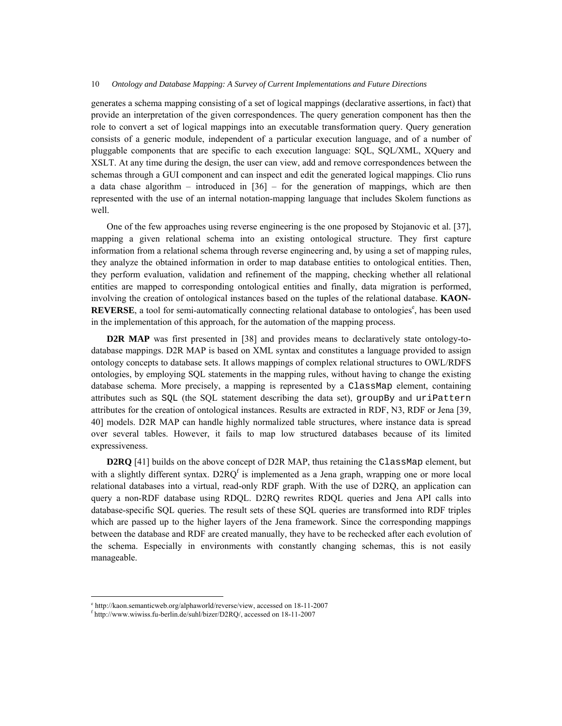generates a schema mapping consisting of a set of logical mappings (declarative assertions, in fact) that provide an interpretation of the given correspondences. The query generation component has then the role to convert a set of logical mappings into an executable transformation query. Query generation consists of a generic module, independent of a particular execution language, and of a number of pluggable components that are specific to each execution language: SQL, SQL/XML, XQuery and XSLT. At any time during the design, the user can view, add and remove correspondences between the schemas through a GUI component and can inspect and edit the generated logical mappings. Clio runs a data chase algorithm – introduced in [36] – for the generation of mappings, which are then represented with the use of an internal notation-mapping language that includes Skolem functions as well.

One of the few approaches using reverse engineering is the one proposed by Stojanovic et al. [37], mapping a given relational schema into an existing ontological structure. They first capture information from a relational schema through reverse engineering and, by using a set of mapping rules, they analyze the obtained information in order to map database entities to ontological entities. Then, they perform evaluation, validation and refinement of the mapping, checking whether all relational entities are mapped to corresponding ontological entities and finally, data migration is performed, involving the creation of ontological instances based on the tuples of the relational database. **KAON-**REVERSE, a tool for semi-automatically connecting relational database to ontologies<sup>e</sup>, has been used in the implementation of this approach, for the automation of the mapping process.

**D2R MAP** was first presented in [38] and provides means to declaratively state ontology-todatabase mappings. D2R MAP is based on XML syntax and constitutes a language provided to assign ontology concepts to database sets. It allows mappings of complex relational structures to OWL/RDFS ontologies, by employing SQL statements in the mapping rules, without having to change the existing database schema. More precisely, a mapping is represented by a ClassMap element, containing attributes such as SQL (the SQL statement describing the data set), groupBy and uriPattern attributes for the creation of ontological instances. Results are extracted in RDF, N3, RDF or Jena [39, 40] models. D2R MAP can handle highly normalized table structures, where instance data is spread over several tables. However, it fails to map low structured databases because of its limited expressiveness.

**D2RO** [41] builds on the above concept of D2R MAP, thus retaining the ClassMap element, but with a slightly different syntax.  $D2RQ<sup>f</sup>$  is implemented as a Jena graph, wrapping one or more local relational databases into a virtual, read-only RDF graph. With the use of D2RQ, an application can query a non-RDF database using RDQL. D2RQ rewrites RDQL queries and Jena API calls into database-specific SQL queries. The result sets of these SQL queries are transformed into RDF triples which are passed up to the higher layers of the Jena framework. Since the corresponding mappings between the database and RDF are created manually, they have to be rechecked after each evolution of the schema. Especially in environments with constantly changing schemas, this is not easily manageable.

 $^{\text{e}}$  http://kaon.semanticweb.org/alphaworld/reverse/view, accessed on 18-11-2007

http://www.wiwiss.fu-berlin.de/suhl/bizer/D2RQ/, accessed on 18-11-2007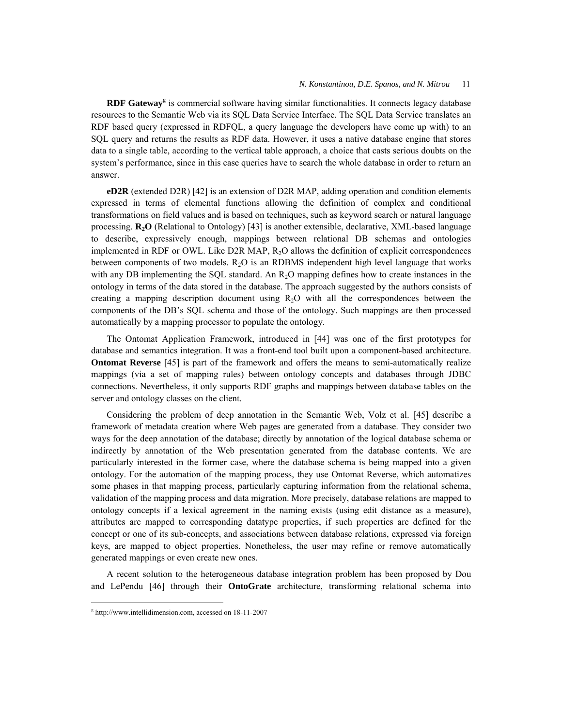RDF Gateway<sup>g</sup> is commercial software having similar functionalities. It connects legacy database resources to the Semantic Web via its SQL Data Service Interface. The SQL Data Service translates an RDF based query (expressed in RDFQL, a query language the developers have come up with) to an SQL query and returns the results as RDF data. However, it uses a native database engine that stores data to a single table, according to the vertical table approach, a choice that casts serious doubts on the system's performance, since in this case queries have to search the whole database in order to return an answer.

**eD2R** (extended D2R) [42] is an extension of D2R MAP, adding operation and condition elements expressed in terms of elemental functions allowing the definition of complex and conditional transformations on field values and is based on techniques, such as keyword search or natural language processing. **R2O** (Relational to Ontology) [43] is another extensible, declarative, XML-based language to describe, expressively enough, mappings between relational DB schemas and ontologies implemented in RDF or OWL. Like D2R MAP, R<sub>2</sub>O allows the definition of explicit correspondences between components of two models.  $R_2O$  is an RDBMS independent high level language that works with any DB implementing the SQL standard. An  $R_2O$  mapping defines how to create instances in the ontology in terms of the data stored in the database. The approach suggested by the authors consists of creating a mapping description document using  $R<sub>2</sub>O$  with all the correspondences between the components of the DB's SQL schema and those of the ontology. Such mappings are then processed automatically by a mapping processor to populate the ontology.

The Ontomat Application Framework, introduced in [44] was one of the first prototypes for database and semantics integration. It was a front-end tool built upon a component-based architecture. **Ontomat Reverse** [45] is part of the framework and offers the means to semi-automatically realize mappings (via a set of mapping rules) between ontology concepts and databases through JDBC connections. Nevertheless, it only supports RDF graphs and mappings between database tables on the server and ontology classes on the client.

Considering the problem of deep annotation in the Semantic Web, Volz et al. [45] describe a framework of metadata creation where Web pages are generated from a database. They consider two ways for the deep annotation of the database; directly by annotation of the logical database schema or indirectly by annotation of the Web presentation generated from the database contents. We are particularly interested in the former case, where the database schema is being mapped into a given ontology. For the automation of the mapping process, they use Ontomat Reverse, which automatizes some phases in that mapping process, particularly capturing information from the relational schema, validation of the mapping process and data migration. More precisely, database relations are mapped to ontology concepts if a lexical agreement in the naming exists (using edit distance as a measure), attributes are mapped to corresponding datatype properties, if such properties are defined for the concept or one of its sub-concepts, and associations between database relations, expressed via foreign keys, are mapped to object properties. Nonetheless, the user may refine or remove automatically generated mappings or even create new ones.

A recent solution to the heterogeneous database integration problem has been proposed by Dou and LePendu [46] through their **OntoGrate** architecture, transforming relational schema into

g http://www.intellidimension.com, accessed on 18-11-2007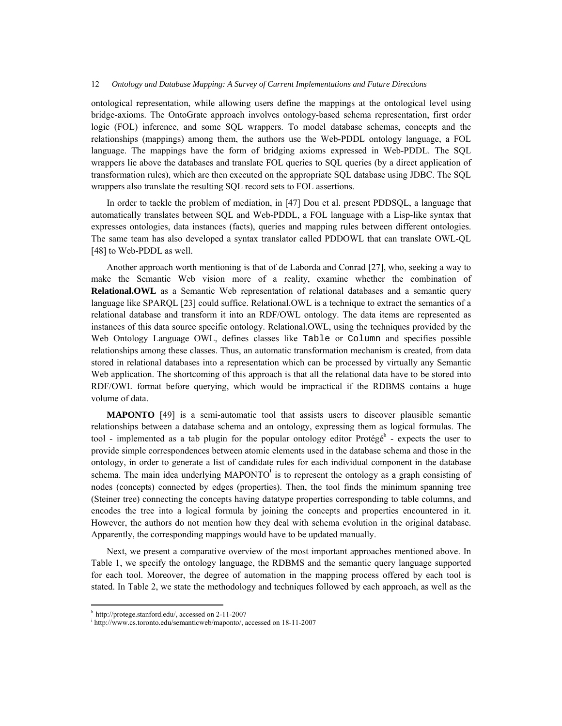ontological representation, while allowing users define the mappings at the ontological level using bridge-axioms. The OntoGrate approach involves ontology-based schema representation, first order logic (FOL) inference, and some SQL wrappers. To model database schemas, concepts and the relationships (mappings) among them, the authors use the Web-PDDL ontology language, a FOL language. The mappings have the form of bridging axioms expressed in Web-PDDL. The SQL wrappers lie above the databases and translate FOL queries to SQL queries (by a direct application of transformation rules), which are then executed on the appropriate SQL database using JDBC. The SQL wrappers also translate the resulting SQL record sets to FOL assertions.

In order to tackle the problem of mediation, in [47] Dou et al. present PDDSQL, a language that automatically translates between SQL and Web-PDDL, a FOL language with a Lisp-like syntax that expresses ontologies, data instances (facts), queries and mapping rules between different ontologies. The same team has also developed a syntax translator called PDDOWL that can translate OWL-QL [48] to Web-PDDL as well.

Another approach worth mentioning is that of de Laborda and Conrad [27], who, seeking a way to make the Semantic Web vision more of a reality, examine whether the combination of **Relational.OWL** as a Semantic Web representation of relational databases and a semantic query language like SPARQL [23] could suffice. Relational.OWL is a technique to extract the semantics of a relational database and transform it into an RDF/OWL ontology. The data items are represented as instances of this data source specific ontology. Relational.OWL, using the techniques provided by the Web Ontology Language OWL, defines classes like Table or Column and specifies possible relationships among these classes. Thus, an automatic transformation mechanism is created, from data stored in relational databases into a representation which can be processed by virtually any Semantic Web application. The shortcoming of this approach is that all the relational data have to be stored into RDF/OWL format before querying, which would be impractical if the RDBMS contains a huge volume of data.

**MAPONTO** [49] is a semi-automatic tool that assists users to discover plausible semantic relationships between a database schema and an ontology, expressing them as logical formulas. The tool - implemented as a tab plugin for the popular ontology editor Protégé<sup>h</sup> - expects the user to provide simple correspondences between atomic elements used in the database schema and those in the ontology, in order to generate a list of candidate rules for each individual component in the database schema. The main idea underlying MAPONTO<sup>i</sup> is to represent the ontology as a graph consisting of nodes (concepts) connected by edges (properties). Then, the tool finds the minimum spanning tree (Steiner tree) connecting the concepts having datatype properties corresponding to table columns, and encodes the tree into a logical formula by joining the concepts and properties encountered in it. However, the authors do not mention how they deal with schema evolution in the original database. Apparently, the corresponding mappings would have to be updated manually.

Next, we present a comparative overview of the most important approaches mentioned above. In Table 1, we specify the ontology language, the RDBMS and the semantic query language supported for each tool. Moreover, the degree of automation in the mapping process offered by each tool is stated. In Table 2, we state the methodology and techniques followed by each approach, as well as the

<sup>h</sup> http://protege.stanford.edu/, accessed on 2-11-2007

i http://www.cs.toronto.edu/semanticweb/maponto/, accessed on 18-11-2007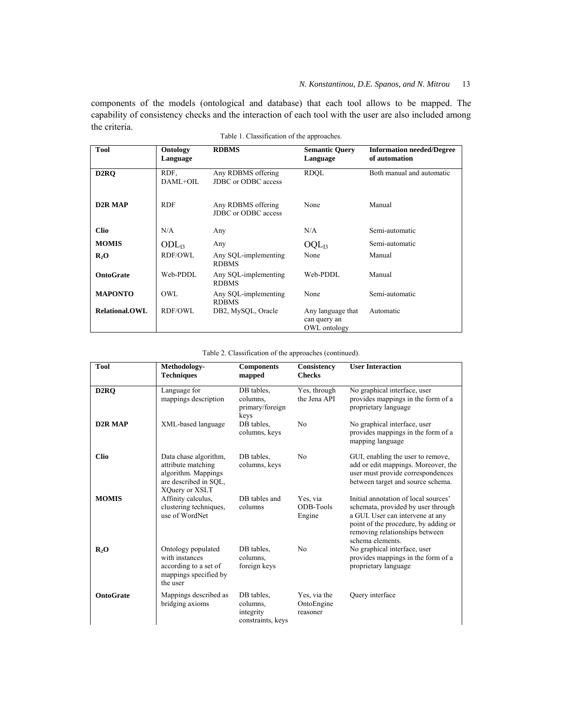components of the models (ontological and database) that each tool allows to be mapped. The capability of consistency checks and the interaction of each tool with the user are also included among the criteria.

| <b>Tool</b>              | Ontology<br>Language | <b>RDBMS</b>                              | <b>Semantic Ouery</b><br>Language                 | <b>Information needed/Degree</b><br>of automation |
|--------------------------|----------------------|-------------------------------------------|---------------------------------------------------|---------------------------------------------------|
| D <sub>2</sub> RO        | RDF.<br>DAML+OIL     | Any RDBMS offering<br>JDBC or ODBC access | <b>RDOL</b>                                       | Both manual and automatic                         |
| <b>D2R MAP</b>           | <b>RDF</b>           | Any RDBMS offering<br>JDBC or ODBC access | None                                              | Manual                                            |
| <b>Clio</b>              | N/A                  | Any                                       | N/A                                               | Semi-automatic                                    |
| <b>MOMIS</b>             | $ODL_{13}$           | Any                                       | $OQL_{13}$                                        | Semi-automatic                                    |
| $\mathbf{R}_2\mathbf{O}$ | RDF/OWL              | Any SQL-implementing<br><b>RDBMS</b>      | None                                              | Manual                                            |
| <b>OntoGrate</b>         | Web-PDDL             | Any SQL-implementing<br><b>RDBMS</b>      | Web-PDDL                                          | Manual                                            |
| <b>MAPONTO</b>           | OWL.                 | Any SQL-implementing<br><b>RDBMS</b>      | None                                              | Semi-automatic                                    |
| <b>Relational.OWL</b>    | RDF/OWL              | DB2, MySQL, Oracle                        | Any language that<br>can query an<br>OWL ontology | Automatic                                         |

Table 1. Classification of the approaches.

# Table 2. Classification of the approaches (continued).

| <b>Tool</b>       | Methodology-<br><b>Techniques</b>                                                                             | <b>Components</b><br>mapped                              | Consistency<br><b>Checks</b>           | <b>User Interaction</b>                                                                                                                                                                                      |
|-------------------|---------------------------------------------------------------------------------------------------------------|----------------------------------------------------------|----------------------------------------|--------------------------------------------------------------------------------------------------------------------------------------------------------------------------------------------------------------|
| D <sub>2</sub> RQ | Language for<br>mappings description                                                                          | DB tables,<br>columns,<br>primary/foreign<br>keys        | Yes, through<br>the Jena API           | No graphical interface, user<br>provides mappings in the form of a<br>proprietary language                                                                                                                   |
| <b>D2R MAP</b>    | XML-based language                                                                                            | DB tables,<br>columns, keys                              | N <sub>0</sub>                         | No graphical interface, user<br>provides mappings in the form of a<br>mapping language                                                                                                                       |
| <b>Clio</b>       | Data chase algorithm,<br>attribute matching<br>algorithm. Mappings<br>are described in SQL,<br>XQuery or XSLT | DB tables,<br>columns, keys                              | N <sub>0</sub>                         | GUI, enabling the user to remove,<br>add or edit mappings. Moreover, the<br>user must provide correspondences<br>between target and source schema.                                                           |
| <b>MOMIS</b>      | Affinity calculus,<br>clustering techniques,<br>use of WordNet                                                | DB tables and<br>columns                                 | Yes, via<br>ODB-Tools<br>Engine        | Initial annotation of local sources'<br>schemata, provided by user through<br>a GUI. User can intervene at any<br>point of the procedure, by adding or<br>removing relationships between<br>schema elements. |
| $R_2O$            | Ontology populated<br>with instances<br>according to a set of<br>mappings specified by<br>the user            | DB tables,<br>columns.<br>foreign keys                   | N <sub>0</sub>                         | No graphical interface, user<br>provides mappings in the form of a<br>proprietary language                                                                                                                   |
| <b>OntoGrate</b>  | Mappings described as<br>bridging axioms                                                                      | DB tables,<br>columns.<br>integrity<br>constraints, keys | Yes, via the<br>OntoEngine<br>reasoner | Query interface                                                                                                                                                                                              |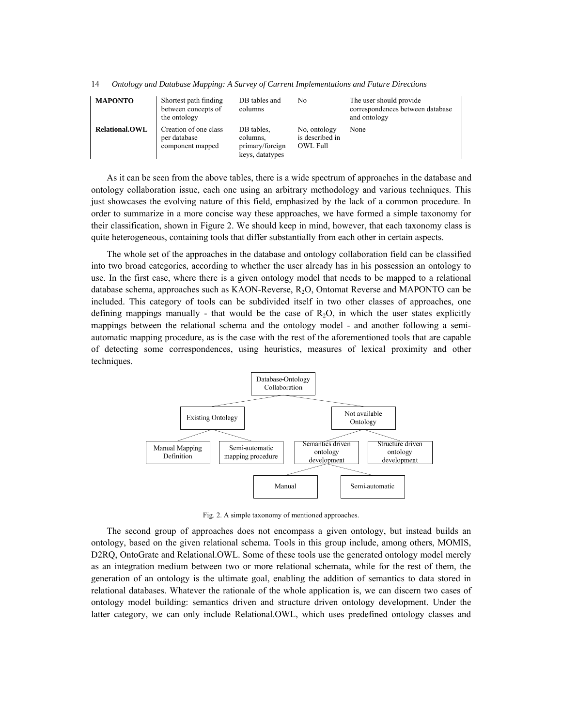| <b>MAPONTO</b>         | Shortest path finding<br>between concepts of<br>the ontology | DB tables and<br>columns                                     | No                                          | The user should provide<br>correspondences between database<br>and ontology |
|------------------------|--------------------------------------------------------------|--------------------------------------------------------------|---------------------------------------------|-----------------------------------------------------------------------------|
| <b>Relational, OWL</b> | Creation of one class<br>per database<br>component mapped    | DB tables.<br>columns.<br>primary/foreign<br>keys, datatypes | No, ontology<br>is described in<br>OWL Full | None                                                                        |

As it can be seen from the above tables, there is a wide spectrum of approaches in the database and ontology collaboration issue, each one using an arbitrary methodology and various techniques. This just showcases the evolving nature of this field, emphasized by the lack of a common procedure. In order to summarize in a more concise way these approaches, we have formed a simple taxonomy for their classification, shown in Figure 2. We should keep in mind, however, that each taxonomy class is quite heterogeneous, containing tools that differ substantially from each other in certain aspects.

The whole set of the approaches in the database and ontology collaboration field can be classified into two broad categories, according to whether the user already has in his possession an ontology to use. In the first case, where there is a given ontology model that needs to be mapped to a relational database schema, approaches such as KAON-Reverse,  $R_2O$ , Ontomat Reverse and MAPONTO can be included. This category of tools can be subdivided itself in two other classes of approaches, one defining mappings manually - that would be the case of  $R_2O$ , in which the user states explicitly mappings between the relational schema and the ontology model - and another following a semiautomatic mapping procedure, as is the case with the rest of the aforementioned tools that are capable of detecting some correspondences, using heuristics, measures of lexical proximity and other techniques.



Fig. 2. A simple taxonomy of mentioned approaches.

The second group of approaches does not encompass a given ontology, but instead builds an ontology, based on the given relational schema. Tools in this group include, among others, MOMIS, D2RQ, OntoGrate and Relational.OWL. Some of these tools use the generated ontology model merely as an integration medium between two or more relational schemata, while for the rest of them, the generation of an ontology is the ultimate goal, enabling the addition of semantics to data stored in relational databases. Whatever the rationale of the whole application is, we can discern two cases of ontology model building: semantics driven and structure driven ontology development. Under the latter category, we can only include Relational.OWL, which uses predefined ontology classes and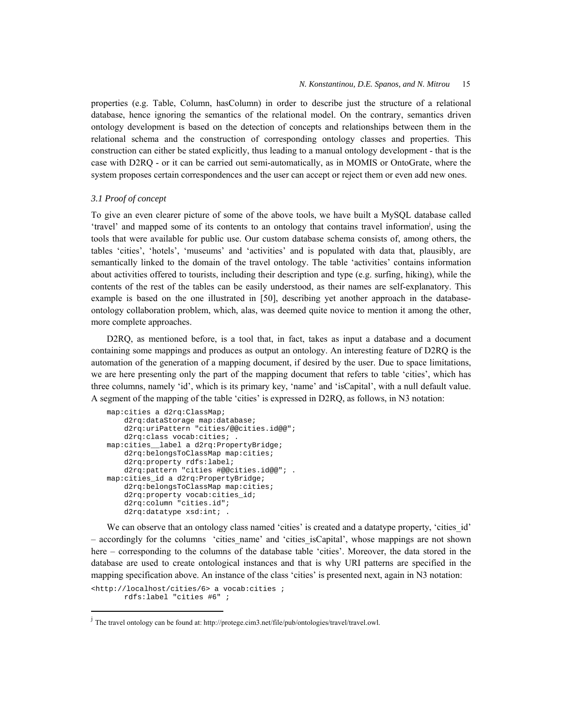properties (e.g. Table, Column, hasColumn) in order to describe just the structure of a relational database, hence ignoring the semantics of the relational model. On the contrary, semantics driven ontology development is based on the detection of concepts and relationships between them in the relational schema and the construction of corresponding ontology classes and properties. This construction can either be stated explicitly, thus leading to a manual ontology development - that is the case with D2RQ - or it can be carried out semi-automatically, as in MOMIS or OntoGrate, where the system proposes certain correspondences and the user can accept or reject them or even add new ones.

# *3.1 Proof of concept*

To give an even clearer picture of some of the above tools, we have built a MySQL database called 'travel' and mapped some of its contents to an ontology that contains travel information<sup>j</sup>, using the tools that were available for public use. Our custom database schema consists of, among others, the tables 'cities', 'hotels', 'museums' and 'activities' and is populated with data that, plausibly, are semantically linked to the domain of the travel ontology. The table 'activities' contains information about activities offered to tourists, including their description and type (e.g. surfing, hiking), while the contents of the rest of the tables can be easily understood, as their names are self-explanatory. This example is based on the one illustrated in [50], describing yet another approach in the databaseontology collaboration problem, which, alas, was deemed quite novice to mention it among the other, more complete approaches.

D2RQ, as mentioned before, is a tool that, in fact, takes as input a database and a document containing some mappings and produces as output an ontology. An interesting feature of D2RQ is the automation of the generation of a mapping document, if desired by the user. Due to space limitations, we are here presenting only the part of the mapping document that refers to table 'cities', which has three columns, namely 'id', which is its primary key, 'name' and 'isCapital', with a null default value. A segment of the mapping of the table 'cities' is expressed in D2RQ, as follows, in N3 notation:

```
map:cities a d2rq:ClassMap; 
     d2rq:dataStorage map:database; 
     d2rq:uriPattern "cities/@@cities.id@@"; 
     d2rq:class vocab:cities; . 
map:cities__label a d2rq:PropertyBridge; 
     d2rq:belongsToClassMap map:cities; 
     d2rq:property rdfs:label; 
     d2rq:pattern "cities #@@cities.id@@"; . 
map:cities_id a d2rq:PropertyBridge; 
     d2rq:belongsToClassMap map:cities; 
     d2rq:property vocab:cities_id; 
     d2rq:column "cities.id"; 
    d2rq:datatype xsd:int; .
```
We can observe that an ontology class named 'cities' is created and a datatype property, 'cities id' – accordingly for the columns 'cities\_name' and 'cities\_isCapital', whose mappings are not shown here – corresponding to the columns of the database table 'cities'. Moreover, the data stored in the database are used to create ontological instances and that is why URI patterns are specified in the mapping specification above. An instance of the class 'cities' is presented next, again in N3 notation:

```
<http://localhost/cities/6> a vocab:cities ; 
        rdfs:label "cities #6" ;
```
<u>.</u>

<sup>&</sup>lt;sup>j</sup> The travel ontology can be found at: http://protege.cim3.net/file/pub/ontologies/travel/travel.owl.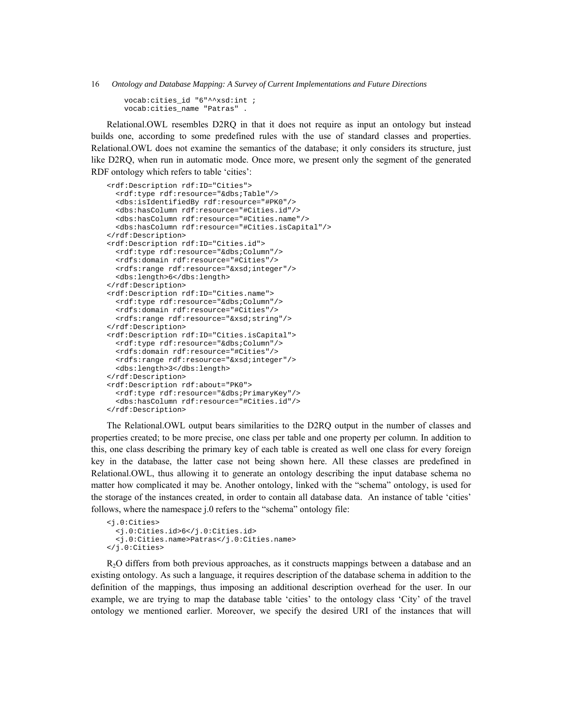vocab:cities\_id "6"^^xsd:int ; vocab:cities\_name "Patras" .

Relational.OWL resembles D2RQ in that it does not require as input an ontology but instead builds one, according to some predefined rules with the use of standard classes and properties. Relational.OWL does not examine the semantics of the database; it only considers its structure, just like D2RQ, when run in automatic mode. Once more, we present only the segment of the generated RDF ontology which refers to table 'cities':

```
<rdf:Description rdf:ID="Cities"> 
   <rdf:type rdf:resource="&dbs;Table"/> 
   <dbs:isIdentifiedBy rdf:resource="#PK0"/> 
   <dbs:hasColumn rdf:resource="#Cities.id"/> 
   <dbs:hasColumn rdf:resource="#Cities.name"/> 
   <dbs:hasColumn rdf:resource="#Cities.isCapital"/> 
</rdf:Description> 
<rdf:Description rdf:ID="Cities.id"> 
   <rdf:type rdf:resource="&dbs;Column"/> 
   <rdfs:domain rdf:resource="#Cities"/> 
  <rdfs:range rdf:resource="&xsd;integer"/> 
   <dbs:length>6</dbs:length> 
</rdf:Description> 
<rdf:Description rdf:ID="Cities.name"> 
  <rdf:type rdf:resource="&dbs;Column"/> 
   <rdfs:domain rdf:resource="#Cities"/> 
   <rdfs:range rdf:resource="&xsd;string"/> 
</rdf:Description> 
<rdf:Description rdf:ID="Cities.isCapital"> 
   <rdf:type rdf:resource="&dbs;Column"/> 
   <rdfs:domain rdf:resource="#Cities"/> 
   <rdfs:range rdf:resource="&xsd;integer"/> 
   <dbs:length>3</dbs:length> 
</rdf:Description> 
<rdf:Description rdf:about="PK0"> 
   <rdf:type rdf:resource="&dbs;PrimaryKey"/> 
   <dbs:hasColumn rdf:resource="#Cities.id"/> 
</rdf:Description>
```
The Relational.OWL output bears similarities to the D2RQ output in the number of classes and properties created; to be more precise, one class per table and one property per column. In addition to this, one class describing the primary key of each table is created as well one class for every foreign key in the database, the latter case not being shown here. All these classes are predefined in Relational.OWL, thus allowing it to generate an ontology describing the input database schema no matter how complicated it may be. Another ontology, linked with the "schema" ontology, is used for the storage of the instances created, in order to contain all database data. An instance of table 'cities' follows, where the namespace j.0 refers to the "schema" ontology file:

```
<j.0:Cities> 
   <j.0:Cities.id>6</j.0:Cities.id> 
   <j.0:Cities.name>Patras</j.0:Cities.name> 
</j.0:Cities>
```
 $R<sub>2</sub>O$  differs from both previous approaches, as it constructs mappings between a database and an existing ontology. As such a language, it requires description of the database schema in addition to the definition of the mappings, thus imposing an additional description overhead for the user. In our example, we are trying to map the database table 'cities' to the ontology class 'City' of the travel ontology we mentioned earlier. Moreover, we specify the desired URI of the instances that will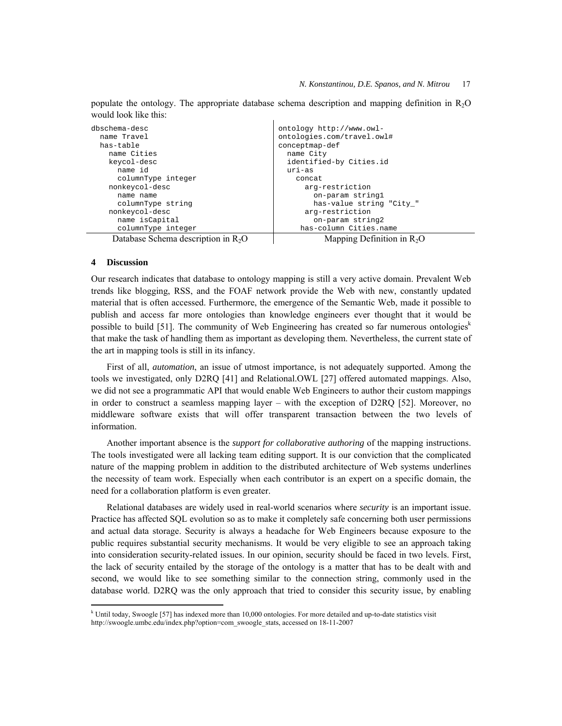| dbschema-desc                         | ontology http://www.owl-     |  |  |  |
|---------------------------------------|------------------------------|--|--|--|
| name Travel                           | ontologies.com/travel.owl#   |  |  |  |
| has-table                             | conceptmap-def               |  |  |  |
| name Cities                           | name City                    |  |  |  |
| keycol-desc                           | identified-by Cities.id      |  |  |  |
| name id                               | $uri-as$                     |  |  |  |
| columnType integer                    | concat                       |  |  |  |
| nonkeycol-desc                        | arg-restriction              |  |  |  |
| name name                             | on-param stringl             |  |  |  |
| columnType string                     | has-value string "City "     |  |  |  |
| nonkeycol-desc                        | arg-restriction              |  |  |  |
| name isCapital                        | on-param string2             |  |  |  |
| columnType integer                    | has-column Cities.name       |  |  |  |
| Database Schema description in $R_2O$ | Mapping Definition in $R_2O$ |  |  |  |

populate the ontology. The appropriate database schema description and mapping definition in R2O would look like this:

# **4 Discussion**

1

Our research indicates that database to ontology mapping is still a very active domain. Prevalent Web trends like blogging, RSS, and the FOAF network provide the Web with new, constantly updated material that is often accessed. Furthermore, the emergence of the Semantic Web, made it possible to publish and access far more ontologies than knowledge engineers ever thought that it would be possible to build [51]. The community of Web Engineering has created so far numerous ontologies<sup>k</sup> that make the task of handling them as important as developing them. Nevertheless, the current state of the art in mapping tools is still in its infancy.

First of all, *automation*, an issue of utmost importance, is not adequately supported. Among the tools we investigated, only D2RQ [41] and Relational.OWL [27] offered automated mappings. Also, we did not see a programmatic API that would enable Web Engineers to author their custom mappings in order to construct a seamless mapping layer – with the exception of D2RQ [52]. Moreover, no middleware software exists that will offer transparent transaction between the two levels of information.

Another important absence is the *support for collaborative authoring* of the mapping instructions. The tools investigated were all lacking team editing support. It is our conviction that the complicated nature of the mapping problem in addition to the distributed architecture of Web systems underlines the necessity of team work. Especially when each contributor is an expert on a specific domain, the need for a collaboration platform is even greater.

Relational databases are widely used in real-world scenarios where *security* is an important issue. Practice has affected SQL evolution so as to make it completely safe concerning both user permissions and actual data storage. Security is always a headache for Web Engineers because exposure to the public requires substantial security mechanisms. It would be very eligible to see an approach taking into consideration security-related issues. In our opinion, security should be faced in two levels. First, the lack of security entailed by the storage of the ontology is a matter that has to be dealt with and second, we would like to see something similar to the connection string, commonly used in the database world. D2RQ was the only approach that tried to consider this security issue, by enabling

<sup>&</sup>lt;sup>k</sup> Until today, Swoogle [57] has indexed more than 10,000 ontologies. For more detailed and up-to-date statistics visit http://swoogle.umbc.edu/index.php?option=com\_swoogle\_stats, accessed on 18-11-2007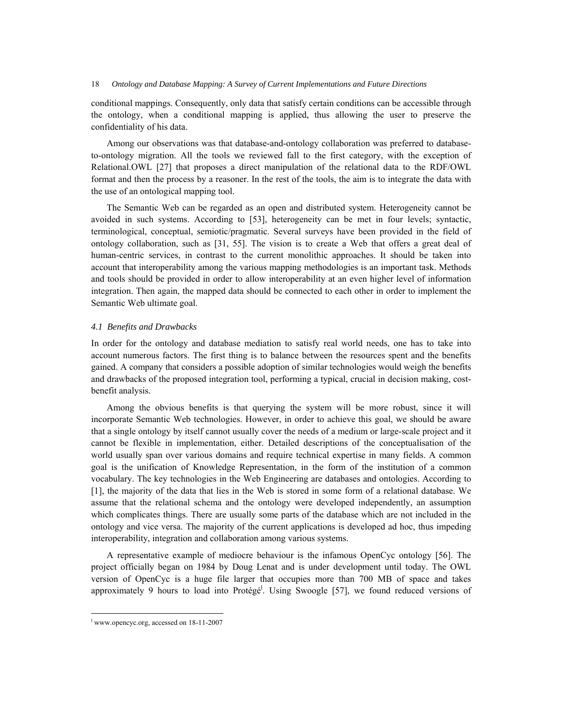conditional mappings. Consequently, only data that satisfy certain conditions can be accessible through the ontology, when a conditional mapping is applied, thus allowing the user to preserve the confidentiality of his data.

Among our observations was that database-and-ontology collaboration was preferred to databaseto-ontology migration. All the tools we reviewed fall to the first category, with the exception of Relational.OWL [27] that proposes a direct manipulation of the relational data to the RDF/OWL format and then the process by a reasoner. In the rest of the tools, the aim is to integrate the data with the use of an ontological mapping tool.

The Semantic Web can be regarded as an open and distributed system. Heterogeneity cannot be avoided in such systems. According to [53], heterogeneity can be met in four levels; syntactic, terminological, conceptual, semiotic/pragmatic. Several surveys have been provided in the field of ontology collaboration, such as [31, 55]. The vision is to create a Web that offers a great deal of human-centric services, in contrast to the current monolithic approaches. It should be taken into account that interoperability among the various mapping methodologies is an important task. Methods and tools should be provided in order to allow interoperability at an even higher level of information integration. Then again, the mapped data should be connected to each other in order to implement the Semantic Web ultimate goal.

# *4.1 Benefits and Drawbacks*

In order for the ontology and database mediation to satisfy real world needs, one has to take into account numerous factors. The first thing is to balance between the resources spent and the benefits gained. A company that considers a possible adoption of similar technologies would weigh the benefits and drawbacks of the proposed integration tool, performing a typical, crucial in decision making, costbenefit analysis.

Among the obvious benefits is that querying the system will be more robust, since it will incorporate Semantic Web technologies. However, in order to achieve this goal, we should be aware that a single ontology by itself cannot usually cover the needs of a medium or large-scale project and it cannot be flexible in implementation, either. Detailed descriptions of the conceptualisation of the world usually span over various domains and require technical expertise in many fields. A common goal is the unification of Knowledge Representation, in the form of the institution of a common vocabulary. The key technologies in the Web Engineering are databases and ontologies. According to [1], the majority of the data that lies in the Web is stored in some form of a relational database. We assume that the relational schema and the ontology were developed independently, an assumption which complicates things. There are usually some parts of the database which are not included in the ontology and vice versa. The majority of the current applications is developed ad hoc, thus impeding interoperability, integration and collaboration among various systems.

A representative example of mediocre behaviour is the infamous OpenCyc ontology [56]. The project officially began on 1984 by Doug Lenat and is under development until today. The OWL version of OpenCyc is a huge file larger that occupies more than 700 MB of space and takes approximately 9 hours to load into Protégé<sup>1</sup>. Using Swoogle [57], we found reduced versions of

l www.opencyc.org, accessed on 18-11-2007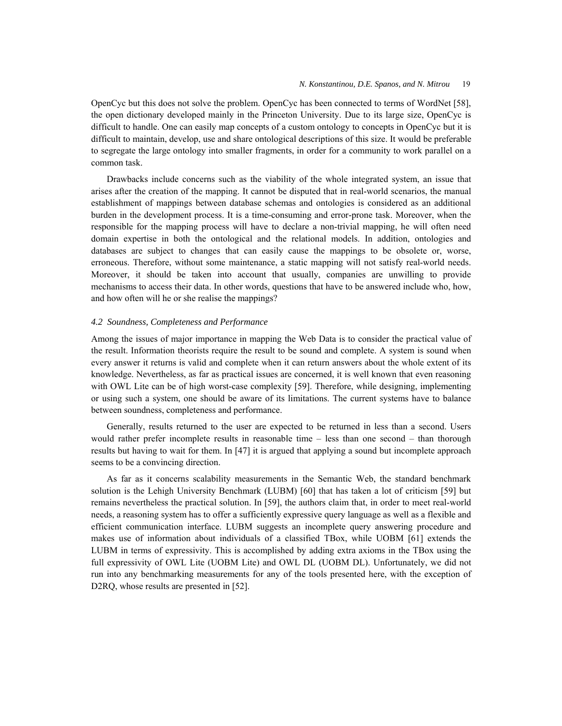OpenCyc but this does not solve the problem. OpenCyc has been connected to terms of WordNet [58], the open dictionary developed mainly in the Princeton University. Due to its large size, OpenCyc is difficult to handle. One can easily map concepts of a custom ontology to concepts in OpenCyc but it is difficult to maintain, develop, use and share ontological descriptions of this size. It would be preferable to segregate the large ontology into smaller fragments, in order for a community to work parallel on a common task.

Drawbacks include concerns such as the viability of the whole integrated system, an issue that arises after the creation of the mapping. It cannot be disputed that in real-world scenarios, the manual establishment of mappings between database schemas and ontologies is considered as an additional burden in the development process. It is a time-consuming and error-prone task. Moreover, when the responsible for the mapping process will have to declare a non-trivial mapping, he will often need domain expertise in both the ontological and the relational models. In addition, ontologies and databases are subject to changes that can easily cause the mappings to be obsolete or, worse, erroneous. Therefore, without some maintenance, a static mapping will not satisfy real-world needs. Moreover, it should be taken into account that usually, companies are unwilling to provide mechanisms to access their data. In other words, questions that have to be answered include who, how, and how often will he or she realise the mappings?

# *4.2 Soundness, Completeness and Performance*

Among the issues of major importance in mapping the Web Data is to consider the practical value of the result. Information theorists require the result to be sound and complete. A system is sound when every answer it returns is valid and complete when it can return answers about the whole extent of its knowledge. Nevertheless, as far as practical issues are concerned, it is well known that even reasoning with OWL Lite can be of high worst-case complexity [59]. Therefore, while designing, implementing or using such a system, one should be aware of its limitations. The current systems have to balance between soundness, completeness and performance.

Generally, results returned to the user are expected to be returned in less than a second. Users would rather prefer incomplete results in reasonable time – less than one second – than thorough results but having to wait for them. In [47] it is argued that applying a sound but incomplete approach seems to be a convincing direction.

As far as it concerns scalability measurements in the Semantic Web, the standard benchmark solution is the Lehigh University Benchmark (LUBM) [60] that has taken a lot of criticism [59] but remains nevertheless the practical solution. In [59], the authors claim that, in order to meet real-world needs, a reasoning system has to offer a sufficiently expressive query language as well as a flexible and efficient communication interface. LUBM suggests an incomplete query answering procedure and makes use of information about individuals of a classified TBox, while UOBM [61] extends the LUBM in terms of expressivity. This is accomplished by adding extra axioms in the TBox using the full expressivity of OWL Lite (UOBM Lite) and OWL DL (UOBM DL). Unfortunately, we did not run into any benchmarking measurements for any of the tools presented here, with the exception of D<sub>2</sub>RQ, whose results are presented in [52].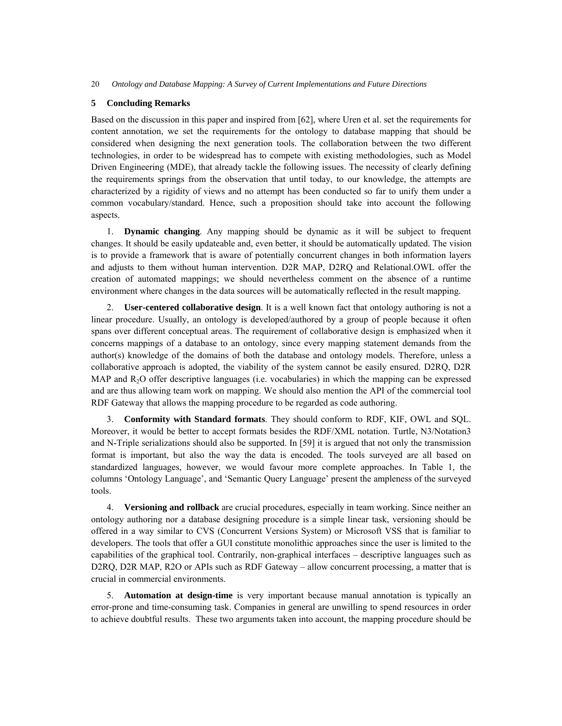## **5 Concluding Remarks**

Based on the discussion in this paper and inspired from [62], where Uren et al. set the requirements for content annotation, we set the requirements for the ontology to database mapping that should be considered when designing the next generation tools. The collaboration between the two different technologies, in order to be widespread has to compete with existing methodologies, such as Model Driven Engineering (MDE), that already tackle the following issues. The necessity of clearly defining the requirements springs from the observation that until today, to our knowledge, the attempts are characterized by a rigidity of views and no attempt has been conducted so far to unify them under a common vocabulary/standard. Hence, such a proposition should take into account the following aspects.

1. **Dynamic changing**. Any mapping should be dynamic as it will be subject to frequent changes. It should be easily updateable and, even better, it should be automatically updated. The vision is to provide a framework that is aware of potentially concurrent changes in both information layers and adjusts to them without human intervention. D2R MAP, D2RQ and Relational.OWL offer the creation of automated mappings; we should nevertheless comment on the absence of a runtime environment where changes in the data sources will be automatically reflected in the result mapping.

2. **User-centered collaborative design**. It is a well known fact that ontology authoring is not a linear procedure. Usually, an ontology is developed/authored by a group of people because it often spans over different conceptual areas. The requirement of collaborative design is emphasized when it concerns mappings of a database to an ontology, since every mapping statement demands from the author(s) knowledge of the domains of both the database and ontology models. Therefore, unless a collaborative approach is adopted, the viability of the system cannot be easily ensured. D2RQ, D2R MAP and R<sub>2</sub>O offer descriptive languages (i.e. vocabularies) in which the mapping can be expressed and are thus allowing team work on mapping. We should also mention the API of the commercial tool RDF Gateway that allows the mapping procedure to be regarded as code authoring.

3. **Conformity with Standard formats**. They should conform to RDF, KIF, OWL and SQL. Moreover, it would be better to accept formats besides the RDF/XML notation. Turtle, N3/Notation3 and N-Triple serializations should also be supported. In [59] it is argued that not only the transmission format is important, but also the way the data is encoded. The tools surveyed are all based on standardized languages, however, we would favour more complete approaches. In Table 1, the columns 'Ontology Language', and 'Semantic Query Language' present the ampleness of the surveyed tools.

4. **Versioning and rollback** are crucial procedures, especially in team working. Since neither an ontology authoring nor a database designing procedure is a simple linear task, versioning should be offered in a way similar to CVS (Concurrent Versions System) or Microsoft VSS that is familiar to developers. The tools that offer a GUI constitute monolithic approaches since the user is limited to the capabilities of the graphical tool. Contrarily, non-graphical interfaces – descriptive languages such as D2RQ, D2R MAP, R2O or APIs such as RDF Gateway – allow concurrent processing, a matter that is crucial in commercial environments.

5. **Automation at design-time** is very important because manual annotation is typically an error-prone and time-consuming task. Companies in general are unwilling to spend resources in order to achieve doubtful results. These two arguments taken into account, the mapping procedure should be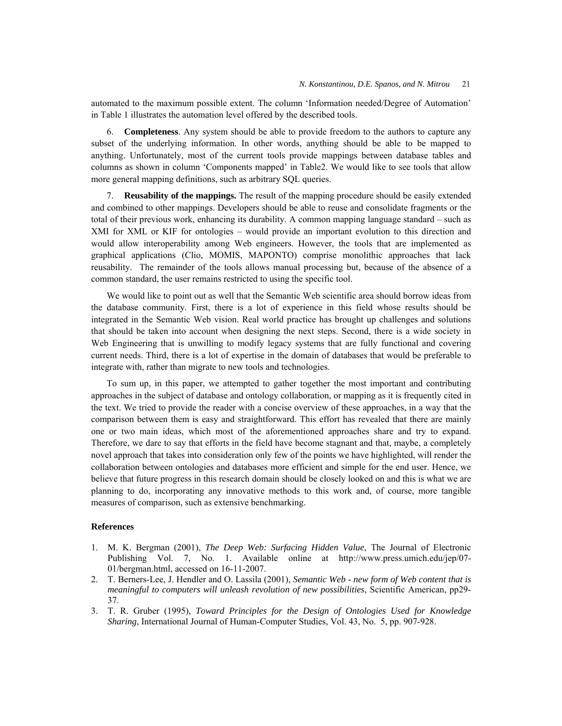automated to the maximum possible extent. The column 'Information needed/Degree of Automation' in Table 1 illustrates the automation level offered by the described tools.

6. **Completeness**. Any system should be able to provide freedom to the authors to capture any subset of the underlying information. In other words, anything should be able to be mapped to anything. Unfortunately, most of the current tools provide mappings between database tables and columns as shown in column 'Components mapped' in Table2. We would like to see tools that allow more general mapping definitions, such as arbitrary SQL queries.

7. **Reusability of the mappings.** The result of the mapping procedure should be easily extended and combined to other mappings. Developers should be able to reuse and consolidate fragments or the total of their previous work, enhancing its durability. A common mapping language standard – such as XMI for XML or KIF for ontologies – would provide an important evolution to this direction and would allow interoperability among Web engineers. However, the tools that are implemented as graphical applications (Clio, MOMIS, MAPONTO) comprise monolithic approaches that lack reusability. The remainder of the tools allows manual processing but, because of the absence of a common standard, the user remains restricted to using the specific tool.

We would like to point out as well that the Semantic Web scientific area should borrow ideas from the database community. First, there is a lot of experience in this field whose results should be integrated in the Semantic Web vision. Real world practice has brought up challenges and solutions that should be taken into account when designing the next steps. Second, there is a wide society in Web Engineering that is unwilling to modify legacy systems that are fully functional and covering current needs. Third, there is a lot of expertise in the domain of databases that would be preferable to integrate with, rather than migrate to new tools and technologies.

To sum up, in this paper, we attempted to gather together the most important and contributing approaches in the subject of database and ontology collaboration, or mapping as it is frequently cited in the text. We tried to provide the reader with a concise overview of these approaches, in a way that the comparison between them is easy and straightforward. This effort has revealed that there are mainly one or two main ideas, which most of the aforementioned approaches share and try to expand. Therefore, we dare to say that efforts in the field have become stagnant and that, maybe, a completely novel approach that takes into consideration only few of the points we have highlighted, will render the collaboration between ontologies and databases more efficient and simple for the end user. Hence, we believe that future progress in this research domain should be closely looked on and this is what we are planning to do, incorporating any innovative methods to this work and, of course, more tangible measures of comparison, such as extensive benchmarking.

### **References**

- 1. M. K. Bergman (2001), *The Deep Web: Surfacing Hidden Value*, The Journal of Electronic Publishing Vol. 7, No. 1. Available online at http://www.press.umich.edu/jep/07- 01/bergman.html, accessed on 16-11-2007.
- 2. T. Berners-Lee, J. Hendler and O. Lassila (2001), *Semantic Web new form of Web content that is meaningful to computers will unleash revolution of new possibilities*, Scientific American, pp29- 37.
- 3. T. R. Gruber (1995), *Toward Principles for the Design of Ontologies Used for Knowledge Sharing*, International Journal of Human-Computer Studies, Vol. 43, No. 5, pp. 907-928.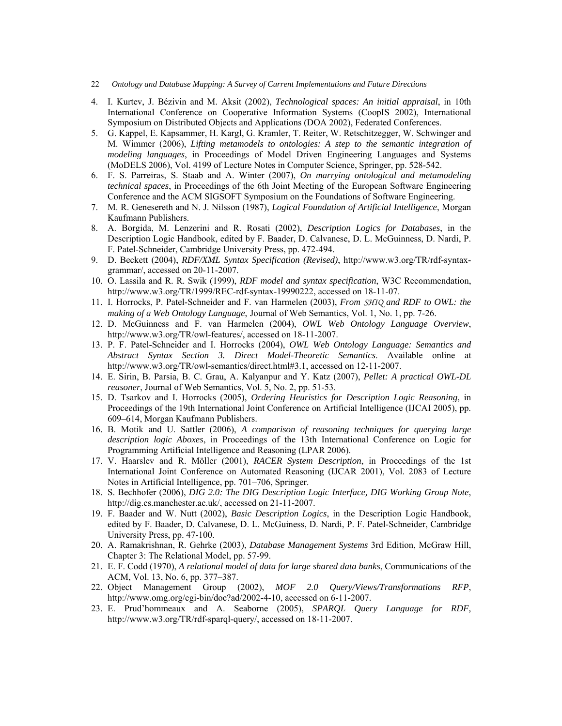- 22 *Ontology and Database Mapping: A Survey of Current Implementations and Future Directions*
- 4. I. Kurtev, J. Bézivin and M. Aksit (2002), *Technological spaces: An initial appraisal*, in 10th International Conference on Cooperative Information Systems (CoopIS 2002), International Symposium on Distributed Objects and Applications (DOA 2002), Federated Conferences.
- 5. G. Kappel, E. Kapsammer, H. Kargl, G. Kramler, T. Reiter, W. Retschitzegger, W. Schwinger and M. Wimmer (2006), *Lifting metamodels to ontologies: A step to the semantic integration of modeling languages*, in Proceedings of Model Driven Engineering Languages and Systems (MoDELS 2006), Vol. 4199 of Lecture Notes in Computer Science, Springer, pp. 528-542.
- 6. F. S. Parreiras, S. Staab and A. Winter (2007), *On marrying ontological and metamodeling technical spaces*, in Proceedings of the 6th Joint Meeting of the European Software Engineering Conference and the ACM SIGSOFT Symposium on the Foundations of Software Engineering.
- 7. M. R. Genesereth and N. J. Nilsson (1987), *Logical Foundation of Artificial Intelligence*, Morgan Kaufmann Publishers.
- 8. A. Borgida, M. Lenzerini and R. Rosati (2002), *Description Logics for Databases*, in the Description Logic Handbook, edited by F. Baader, D. Calvanese, D. L. McGuinness, D. Nardi, P. F. Patel-Schneider, Cambridge University Press, pp. 472-494.
- 9. D. Beckett (2004), *RDF/XML Syntax Specification (Revised)*, http://www.w3.org/TR/rdf-syntaxgrammar/, accessed on 20-11-2007.
- 10. O. Lassila and R. R. Swik (1999), *RDF model and syntax specification*, W3C Recommendation, http://www.w3.org/TR/1999/REC-rdf-syntax-19990222, accessed on 18-11-07.
- 11. I. Horrocks, P. Patel-Schneider and F. van Harmelen (2003), *From SHIQ and RDF to OWL: the making of a Web Ontology Language*, Journal of Web Semantics, Vol. 1, No. 1, pp. 7-26.
- 12. D. McGuinness and F. van Harmelen (2004), *OWL Web Ontology Language Overview*, http://www.w3.org/TR/owl-features/, accessed on 18-11-2007.
- 13. P. F. Patel-Schneider and I. Horrocks (2004), *OWL Web Ontology Language: Semantics and Abstract Syntax Section 3. Direct Model-Theoretic Semantics*. Available online at http://www.w3.org/TR/owl-semantics/direct.html#3.1, accessed on 12-11-2007.
- 14. E. Sirin, B. Parsia, B. C. Grau, A. Kalyanpur and Y. Katz (2007), *Pellet: A practical OWL-DL reasoner*, Journal of Web Semantics, Vol. 5, No. 2, pp. 51-53.
- 15. D. Tsarkov and I. Horrocks (2005), *Ordering Heuristics for Description Logic Reasoning*, in Proceedings of the 19th International Joint Conference on Artificial Intelligence (IJCAI 2005), pp. 609–614, Morgan Kaufmann Publishers.
- 16. B. Motik and U. Sattler (2006), *A comparison of reasoning techniques for querying large description logic Aboxes*, in Proceedings of the 13th International Conference on Logic for Programming Artificial Intelligence and Reasoning (LPAR 2006).
- 17. V. Haarslev and R. Möller (2001), *RACER System Description*, in Proceedings of the 1st International Joint Conference on Automated Reasoning (IJCAR 2001), Vol. 2083 of Lecture Notes in Artificial Intelligence, pp. 701–706, Springer.
- 18. S. Bechhofer (2006), *DIG 2.0: The DIG Description Logic Interface, DIG Working Group Note*, http://dig.cs.manchester.ac.uk/, accessed on 21-11-2007.
- 19. F. Baader and W. Nutt (2002), *Basic Description Logics*, in the Description Logic Handbook, edited by F. Baader, D. Calvanese, D. L. McGuiness, D. Nardi, P. F. Patel-Schneider, Cambridge University Press, pp. 47-100.
- 20. A. Ramakrishnan, R. Gehrke (2003), *Database Management Systems* 3rd Edition, McGraw Hill, Chapter 3: The Relational Model, pp. 57-99.
- 21. E. F. Codd (1970), *A relational model of data for large shared data banks*, Communications of the ACM, Vol. 13, No. 6, pp. 377–387.
- 22. Object Management Group (2002), *MOF 2.0 Query/Views/Transformations RFP*, http://www.omg.org/cgi-bin/doc?ad/2002-4-10, accessed on 6-11-2007.
- 23. E. Prud'hommeaux and A. Seaborne (2005), *SPARQL Query Language for RDF*, http://www.w3.org/TR/rdf-sparql-query/, accessed on 18-11-2007.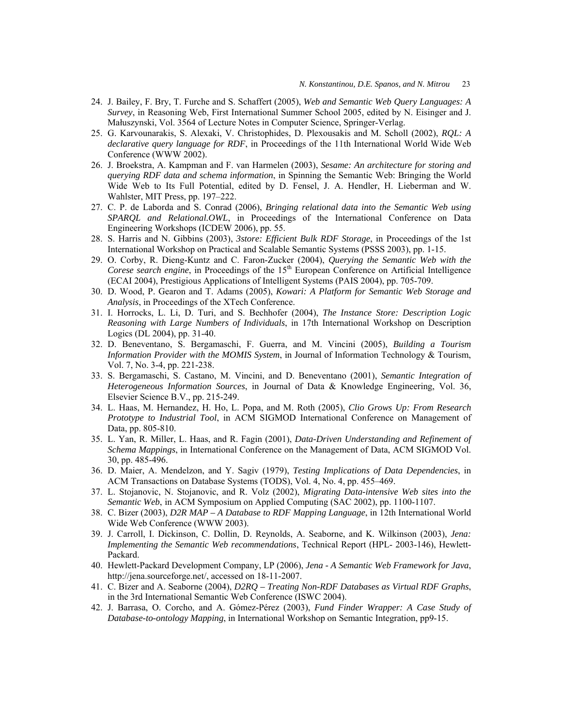- 24. J. Bailey, F. Bry, T. Furche and S. Schaffert (2005), *Web and Semantic Web Query Languages: A Survey*, in Reasoning Web, First International Summer School 2005, edited by N. Eisinger and J. Małuszynski, Vol. 3564 of Lecture Notes in Computer Science, Springer-Verlag.
- 25. G. Karvounarakis, S. Alexaki, V. Christophides, D. Plexousakis and M. Scholl (2002), *RQL: A declarative query language for RDF*, in Proceedings of the 11th International World Wide Web Conference (WWW 2002).
- 26. J. Broekstra, A. Kampman and F. van Harmelen (2003), *Sesame: An architecture for storing and querying RDF data and schema information*, in Spinning the Semantic Web: Bringing the World Wide Web to Its Full Potential, edited by D. Fensel, J. A. Hendler, H. Lieberman and W. Wahlster, MIT Press, pp. 197–222.
- 27. C. P. de Laborda and S. Conrad (2006), *Bringing relational data into the Semantic Web using SPARQL and Relational.OWL*, in Proceedings of the International Conference on Data Engineering Workshops (ICDEW 2006), pp. 55.
- 28. S. Harris and N. Gibbins (2003), *3store: Efficient Bulk RDF Storage*, in Proceedings of the 1st International Workshop on Practical and Scalable Semantic Systems (PSSS 2003), pp. 1-15.
- 29. O. Corby, R. Dieng-Kuntz and C. Faron-Zucker (2004), *Querying the Semantic Web with the Corese search engine*, in Proceedings of the 15<sup>th</sup> European Conference on Artificial Intelligence (ECAI 2004), Prestigious Applications of Intelligent Systems (PAIS 2004), pp. 705-709.
- 30. D. Wood, P. Gearon and T. Adams (2005), *Kowari: A Platform for Semantic Web Storage and Analysis*, in Proceedings of the XTech Conference.
- 31. I. Horrocks, L. Li, D. Turi, and S. Bechhofer (2004), *The Instance Store: Description Logic Reasoning with Large Numbers of Individuals*, in 17th International Workshop on Description Logics (DL 2004), pp. 31-40.
- 32. D. Beneventano, S. Bergamaschi, F. Guerra, and M. Vincini (2005), *Building a Tourism Information Provider with the MOMIS System*, in Journal of Information Technology & Tourism, Vol. 7, No. 3-4, pp. 221-238.
- 33. S. Bergamaschi, S. Castano, M. Vincini, and D. Beneventano (2001), *Semantic Integration of Heterogeneous Information Sources*, in Journal of Data & Knowledge Engineering, Vol. 36, Elsevier Science B.V., pp. 215-249.
- 34. L. Haas, M. Hernandez, H. Ho, L. Popa, and M. Roth (2005), *Clio Grows Up: From Research Prototype to Industrial Tool*, in ACM SIGMOD International Conference on Management of Data, pp. 805-810.
- 35. L. Yan, R. Miller, L. Haas, and R. Fagin (2001), *Data-Driven Understanding and Refinement of Schema Mappings*, in International Conference on the Management of Data, ACM SIGMOD Vol. 30, pp. 485-496.
- 36. D. Maier, A. Mendelzon, and Y. Sagiv (1979), *Testing Implications of Data Dependencies*, in ACM Transactions on Database Systems (TODS), Vol. 4, No. 4, pp. 455–469.
- 37. L. Stojanovic, N. Stojanovic, and R. Volz (2002), *Migrating Data-intensive Web sites into the Semantic Web*, in ACM Symposium on Applied Computing (SAC 2002), pp. 1100-1107.
- 38. C. Bizer (2003), *D2R MAP A Database to RDF Mapping Language*, in 12th International World Wide Web Conference (WWW 2003).
- 39. J. Carroll, I. Dickinson, C. Dollin, D. Reynolds, A. Seaborne, and K. Wilkinson (2003), *Jena: Implementing the Semantic Web recommendations*, Technical Report (HPL- 2003-146), Hewlett-Packard.
- 40. Hewlett-Packard Development Company, LP (2006), *Jena A Semantic Web Framework for Java*, http://jena.sourceforge.net/, accessed on 18-11-2007.
- 41. C. Bizer and A. Seaborne (2004), *D2RQ Treating Non-RDF Databases as Virtual RDF Graphs*, in the 3rd International Semantic Web Conference (ISWC 2004).
- 42. J. Barrasa, O. Corcho, and A. Gómez-Pérez (2003), *Fund Finder Wrapper: A Case Study of Database-to-ontology Mapping*, in International Workshop on Semantic Integration, pp9-15.